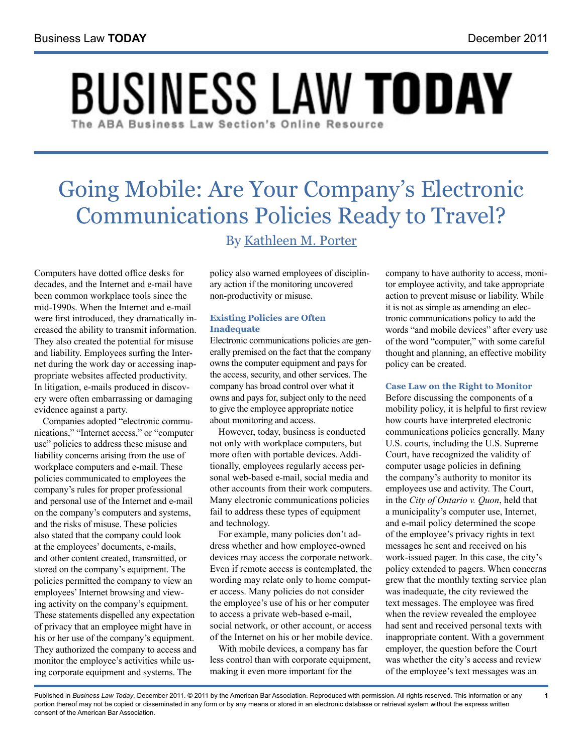# **BUSINESS LAW TODAY** The ABA Business Law Section's Online Resource

# Going Mobile: Are Your Company's Electronic Communications Policies Ready to Travel? By [Kathleen M. Porter](http://www.rc.com/Bio.cfm?eID=769)

Computers have dotted office desks for decades, and the Internet and e-mail have been common workplace tools since the mid-1990s. When the Internet and e-mail were first introduced, they dramatically increased the ability to transmit information. They also created the potential for misuse and liability. Employees surfing the Internet during the work day or accessing inappropriate websites affected productivity. In litigation, e-mails produced in discovery were often embarrassing or damaging evidence against a party.

Companies adopted "electronic communications," "Internet access," or "computer use" policies to address these misuse and liability concerns arising from the use of workplace computers and e-mail. These policies communicated to employees the company's rules for proper professional and personal use of the Internet and e‑mail on the company's computers and systems, and the risks of misuse. These policies also stated that the company could look at the employees' documents, e-mails, and other content created, transmitted, or stored on the company's equipment. The policies permitted the company to view an employees' Internet browsing and viewing activity on the company's equipment. These statements dispelled any expectation of privacy that an employee might have in his or her use of the company's equipment. They authorized the company to access and monitor the employee's activities while using corporate equipment and systems. The

policy also warned employees of disciplinary action if the monitoring uncovered non-productivity or misuse.

# **Existing Policies are Often Inadequate**

Electronic communications policies are generally premised on the fact that the company owns the computer equipment and pays for the access, security, and other services. The company has broad control over what it owns and pays for, subject only to the need to give the employee appropriate notice about monitoring and access.

However, today, business is conducted not only with workplace computers, but more often with portable devices. Additionally, employees regularly access personal web-based e-mail, social media and other accounts from their work computers. Many electronic communications policies fail to address these types of equipment and technology.

For example, many policies don't address whether and how employee-owned devices may access the corporate network. Even if remote access is contemplated, the wording may relate only to home computer access. Many policies do not consider the employee's use of his or her computer to access a private web-based e-mail, social network, or other account, or access of the Internet on his or her mobile device.

With mobile devices, a company has far less control than with corporate equipment, making it even more important for the

company to have authority to access, monitor employee activity, and take appropriate action to prevent misuse or liability. While it is not as simple as amending an electronic communications policy to add the words "and mobile devices" after every use of the word "computer," with some careful thought and planning, an effective mobility policy can be created.

# **Case Law on the Right to Monitor**

Before discussing the components of a mobility policy, it is helpful to first review how courts have interpreted electronic communications policies generally. Many U.S. courts, including the U.S. Supreme Court, have recognized the validity of computer usage policies in defining the company's authority to monitor its employees use and activity. The Court, in the *City of Ontario v. Quon*, held that a municipality's computer use, Internet, and e-mail policy determined the scope of the employee's privacy rights in text messages he sent and received on his work-issued pager. In this case, the city's policy extended to pagers. When concerns grew that the monthly texting service plan was inadequate, the city reviewed the text messages. The employee was fired when the review revealed the employee had sent and received personal texts with inappropriate content. With a government employer, the question before the Court was whether the city's access and review of the employee's text messages was an

**1**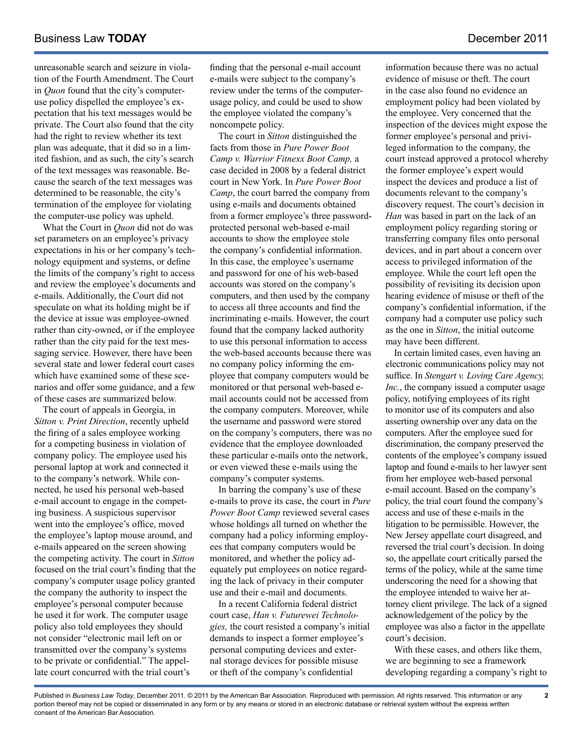unreasonable search and seizure in violation of the Fourth Amendment. The Court in *Quon* found that the city's computeruse policy dispelled the employee's expectation that his text messages would be private. The Court also found that the city had the right to review whether its text plan was adequate, that it did so in a limited fashion, and as such, the city's search of the text messages was reasonable. Because the search of the text messages was determined to be reasonable, the city's termination of the employee for violating the computer-use policy was upheld.

What the Court in *Quon* did not do was set parameters on an employee's privacy expectations in his or her company's technology equipment and systems, or define the limits of the company's right to access and review the employee's documents and e-mails. Additionally, the Court did not speculate on what its holding might be if the device at issue was employee-owned rather than city-owned, or if the employee rather than the city paid for the text messaging service. However, there have been several state and lower federal court cases which have examined some of these scenarios and offer some guidance, and a few of these cases are summarized below.

The court of appeals in Georgia, in *Sitton v. Print Direction*, recently upheld the firing of a sales employee working for a competing business in violation of company policy. The employee used his personal laptop at work and connected it to the company's network. While connected, he used his personal web-based e-mail account to engage in the competing business. A suspicious supervisor went into the employee's office, moved the employee's laptop mouse around, and e-mails appeared on the screen showing the competing activity. The court in *Sitton* focused on the trial court's finding that the company's computer usage policy granted the company the authority to inspect the employee's personal computer because he used it for work. The computer usage policy also told employees they should not consider "electronic mail left on or transmitted over the company's systems to be private or confidential." The appellate court concurred with the trial court's

finding that the personal e-mail account e-mails were subject to the company's review under the terms of the computerusage policy, and could be used to show the employee violated the company's noncompete policy.

The court in *Sitton* distinguished the facts from those in *Pure Power Boot Camp v. Warrior Fitnexx Boot Camp,* a case decided in 2008 by a federal district court in New York. In *Pure Power Boot Camp*, the court barred the company from using e-mails and documents obtained from a former employee's three passwordprotected personal web-based e-mail accounts to show the employee stole the company's confidential information. In this case, the employee's username and password for one of his web-based accounts was stored on the company's computers, and then used by the company to access all three accounts and find the incriminating e-mails. However, the court found that the company lacked authority to use this personal information to access the web-based accounts because there was no company policy informing the employee that company computers would be monitored or that personal web-based email accounts could not be accessed from the company computers. Moreover, while the username and password were stored on the company's computers, there was no evidence that the employee downloaded these particular e-mails onto the network, or even viewed these e-mails using the company's computer systems.

In barring the company's use of these e-mails to prove its case, the court in *Pure Power Boot Camp* reviewed several cases whose holdings all turned on whether the company had a policy informing employees that company computers would be monitored, and whether the policy adequately put employees on notice regarding the lack of privacy in their computer use and their e-mail and documents.

In a recent California federal district court case, *Han v. Futurewei Technologies,* the court resisted a company's initial demands to inspect a former employee's personal computing devices and external storage devices for possible misuse or theft of the company's confidential

information because there was no actual evidence of misuse or theft. The court in the case also found no evidence an employment policy had been violated by the employee. Very concerned that the inspection of the devices might expose the former employee's personal and privileged information to the company, the court instead approved a protocol whereby the former employee's expert would inspect the devices and produce a list of documents relevant to the company's discovery request. The court's decision in *Han* was based in part on the lack of an employment policy regarding storing or transferring company files onto personal devices, and in part about a concern over access to privileged information of the employee. While the court left open the possibility of revisiting its decision upon hearing evidence of misuse or theft of the company's confidential information, if the company had a computer use policy such as the one in *Sitton*, the initial outcome may have been different.

In certain limited cases, even having an electronic communications policy may not suffice. In *Stengart v. Loving Care Agency, Inc.*, the company issued a computer usage policy, notifying employees of its right to monitor use of its computers and also asserting ownership over any data on the computers. After the employee sued for discrimination, the company preserved the contents of the employee's company issued laptop and found e-mails to her lawyer sent from her employee web-based personal e-mail account. Based on the company's policy, the trial court found the company's access and use of these e-mails in the litigation to be permissible. However, the New Jersey appellate court disagreed, and reversed the trial court's decision. In doing so, the appellate court critically parsed the terms of the policy, while at the same time underscoring the need for a showing that the employee intended to waive her attorney client privilege. The lack of a signed acknowledgement of the policy by the employee was also a factor in the appellate court's decision.

With these cases, and others like them, we are beginning to see a framework developing regarding a company's right to

**2**

Published in *Business Law Today*, December 2011. © 2011 by the American Bar Association. Reproduced with permission. All rights reserved. This information or any portion thereof may not be copied or disseminated in any form or by any means or stored in an electronic database or retrieval system without the express written consent of the American Bar Association.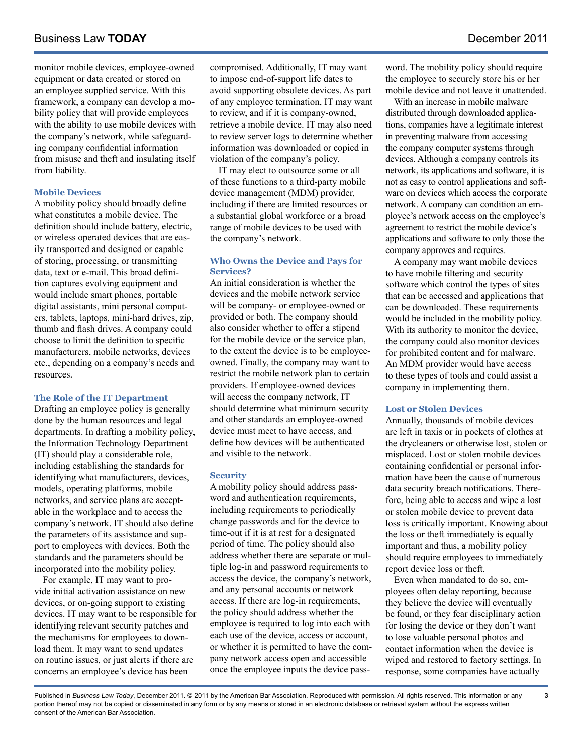monitor mobile devices, employee-owned equipment or data created or stored on an employee supplied service. With this framework, a company can develop a mobility policy that will provide employees with the ability to use mobile devices with the company's network, while safeguarding company confidential information from misuse and theft and insulating itself from liability.

# **Mobile Devices**

A mobility policy should broadly define what constitutes a mobile device. The definition should include battery, electric, or wireless operated devices that are easily transported and designed or capable of storing, processing, or transmitting data, text or e-mail. This broad definition captures evolving equipment and would include smart phones, portable digital assistants, mini personal computers, tablets, laptops, mini-hard drives, zip, thumb and flash drives. A company could choose to limit the definition to specific manufacturers, mobile networks, devices etc., depending on a company's needs and resources.

# **The Role of the IT Department**

Drafting an employee policy is generally done by the human resources and legal departments. In drafting a mobility policy, the Information Technology Department (IT) should play a considerable role, including establishing the standards for identifying what manufacturers, devices, models, operating platforms, mobile networks, and service plans are acceptable in the workplace and to access the company's network. IT should also define the parameters of its assistance and support to employees with devices. Both the standards and the parameters should be incorporated into the mobility policy.

For example, IT may want to provide initial activation assistance on new devices, or on-going support to existing devices. IT may want to be responsible for identifying relevant security patches and the mechanisms for employees to download them. It may want to send updates on routine issues, or just alerts if there are concerns an employee's device has been

compromised. Additionally, IT may want to impose end-of-support life dates to avoid supporting obsolete devices. As part of any employee termination, IT may want to review, and if it is company-owned, retrieve a mobile device. IT may also need to review server logs to determine whether information was downloaded or copied in violation of the company's policy.

IT may elect to outsource some or all of these functions to a third-party mobile device management (MDM) provider, including if there are limited resources or a substantial global workforce or a broad range of mobile devices to be used with the company's network.

# **Who Owns the Device and Pays for Services?**

An initial consideration is whether the devices and the mobile network service will be company- or employee-owned or provided or both. The company should also consider whether to offer a stipend for the mobile device or the service plan, to the extent the device is to be employeeowned. Finally, the company may want to restrict the mobile network plan to certain providers. If employee-owned devices will access the company network, IT should determine what minimum security and other standards an employee-owned device must meet to have access, and define how devices will be authenticated and visible to the network.

# **Security**

A mobility policy should address password and authentication requirements, including requirements to periodically change passwords and for the device to time-out if it is at rest for a designated period of time. The policy should also address whether there are separate or multiple log-in and password requirements to access the device, the company's network, and any personal accounts or network access. If there are log-in requirements, the policy should address whether the employee is required to log into each with each use of the device, access or account, or whether it is permitted to have the company network access open and accessible once the employee inputs the device pass-

word. The mobility policy should require the employee to securely store his or her mobile device and not leave it unattended.

With an increase in mobile malware distributed through downloaded applications, companies have a legitimate interest in preventing malware from accessing the company computer systems through devices. Although a company controls its network, its applications and software, it is not as easy to control applications and software on devices which access the corporate network. A company can condition an employee's network access on the employee's agreement to restrict the mobile device's applications and software to only those the company approves and requires.

A company may want mobile devices to have mobile filtering and security software which control the types of sites that can be accessed and applications that can be downloaded. These requirements would be included in the mobility policy. With its authority to monitor the device, the company could also monitor devices for prohibited content and for malware. An MDM provider would have access to these types of tools and could assist a company in implementing them.

# **Lost or Stolen Devices**

Annually, thousands of mobile devices are left in taxis or in pockets of clothes at the drycleaners or otherwise lost, stolen or misplaced. Lost or stolen mobile devices containing confidential or personal information have been the cause of numerous data security breach notifications. Therefore, being able to access and wipe a lost or stolen mobile device to prevent data loss is critically important. Knowing about the loss or theft immediately is equally important and thus, a mobility policy should require employees to immediately report device loss or theft.

Even when mandated to do so, employees often delay reporting, because they believe the device will eventually be found, or they fear disciplinary action for losing the device or they don't want to lose valuable personal photos and contact information when the device is wiped and restored to factory settings. In response, some companies have actually

Published in *Business Law Today*, December 2011. © 2011 by the American Bar Association. Reproduced with permission. All rights reserved. This information or any portion thereof may not be copied or disseminated in any form or by any means or stored in an electronic database or retrieval system without the express written consent of the American Bar Association.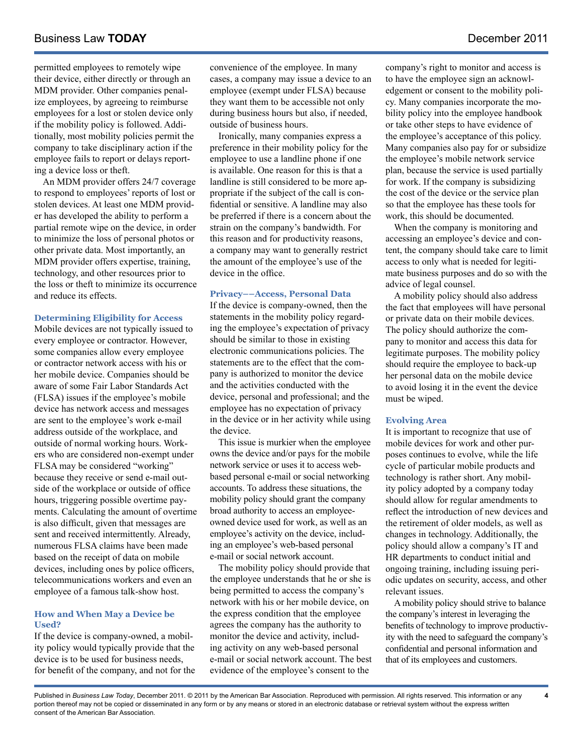# Business Law **TODAY December 2011**

permitted employees to remotely wipe their device, either directly or through an MDM provider. Other companies penalize employees, by agreeing to reimburse employees for a lost or stolen device only if the mobility policy is followed. Additionally, most mobility policies permit the company to take disciplinary action if the employee fails to report or delays reporting a device loss or theft.

An MDM provider offers 24/7 coverage to respond to employees' reports of lost or stolen devices. At least one MDM provider has developed the ability to perform a partial remote wipe on the device, in order to minimize the loss of personal photos or other private data. Most importantly, an MDM provider offers expertise, training, technology, and other resources prior to the loss or theft to minimize its occurrence and reduce its effects.

#### **Determining Eligibility for Access**

Mobile devices are not typically issued to every employee or contractor. However, some companies allow every employee or contractor network access with his or her mobile device. Companies should be aware of some Fair Labor Standards Act (FLSA) issues if the employee's mobile device has network access and messages are sent to the employee's work e-mail address outside of the workplace, and outside of normal working hours. Workers who are considered non-exempt under FLSA may be considered "working" because they receive or send e-mail outside of the workplace or outside of office hours, triggering possible overtime payments. Calculating the amount of overtime is also difficult, given that messages are sent and received intermittently. Already, numerous FLSA claims have been made based on the receipt of data on mobile devices, including ones by police officers, telecommunications workers and even an employee of a famous talk-show host.

#### **How and When May a Device be Used?**

If the device is company-owned, a mobility policy would typically provide that the device is to be used for business needs, for benefit of the company, and not for the convenience of the employee. In many cases, a company may issue a device to an employee (exempt under FLSA) because they want them to be accessible not only during business hours but also, if needed, outside of business hours.

Ironically, many companies express a preference in their mobility policy for the employee to use a landline phone if one is available. One reason for this is that a landline is still considered to be more appropriate if the subject of the call is confidential or sensitive. A landline may also be preferred if there is a concern about the strain on the company's bandwidth. For this reason and for productivity reasons, a company may want to generally restrict the amount of the employee's use of the device in the office.

#### **Privacy––Access, Personal Data**

If the device is company-owned, then the statements in the mobility policy regarding the employee's expectation of privacy should be similar to those in existing electronic communications policies. The statements are to the effect that the company is authorized to monitor the device and the activities conducted with the device, personal and professional; and the employee has no expectation of privacy in the device or in her activity while using the device.

This issue is murkier when the employee owns the device and/or pays for the mobile network service or uses it to access webbased personal e-mail or social networking accounts. To address these situations, the mobility policy should grant the company broad authority to access an employeeowned device used for work, as well as an employee's activity on the device, including an employee's web-based personal e-mail or social network account.

The mobility policy should provide that the employee understands that he or she is being permitted to access the company's network with his or her mobile device, on the express condition that the employee agrees the company has the authority to monitor the device and activity, including activity on any web-based personal e-mail or social network account. The best evidence of the employee's consent to the

company's right to monitor and access is to have the employee sign an acknowledgement or consent to the mobility policy. Many companies incorporate the mobility policy into the employee handbook or take other steps to have evidence of the employee's acceptance of this policy. Many companies also pay for or subsidize the employee's mobile network service plan, because the service is used partially for work. If the company is subsidizing the cost of the device or the service plan so that the employee has these tools for work, this should be documented.

When the company is monitoring and accessing an employee's device and content, the company should take care to limit access to only what is needed for legitimate business purposes and do so with the advice of legal counsel.

A mobility policy should also address the fact that employees will have personal or private data on their mobile devices. The policy should authorize the company to monitor and access this data for legitimate purposes. The mobility policy should require the employee to back-up her personal data on the mobile device to avoid losing it in the event the device must be wiped.

#### **Evolving Area**

It is important to recognize that use of mobile devices for work and other purposes continues to evolve, while the life cycle of particular mobile products and technology is rather short. Any mobility policy adopted by a company today should allow for regular amendments to reflect the introduction of new devices and the retirement of older models, as well as changes in technology. Additionally, the policy should allow a company's IT and HR departments to conduct initial and ongoing training, including issuing periodic updates on security, access, and other relevant issues.

A mobility policy should strive to balance the company's interest in leveraging the benefits of technology to improve productivity with the need to safeguard the company's confidential and personal information and that of its employees and customers.

**4**

Published in *Business Law Today*, December 2011. © 2011 by the American Bar Association. Reproduced with permission. All rights reserved. This information or any portion thereof may not be copied or disseminated in any form or by any means or stored in an electronic database or retrieval system without the express written consent of the American Bar Association.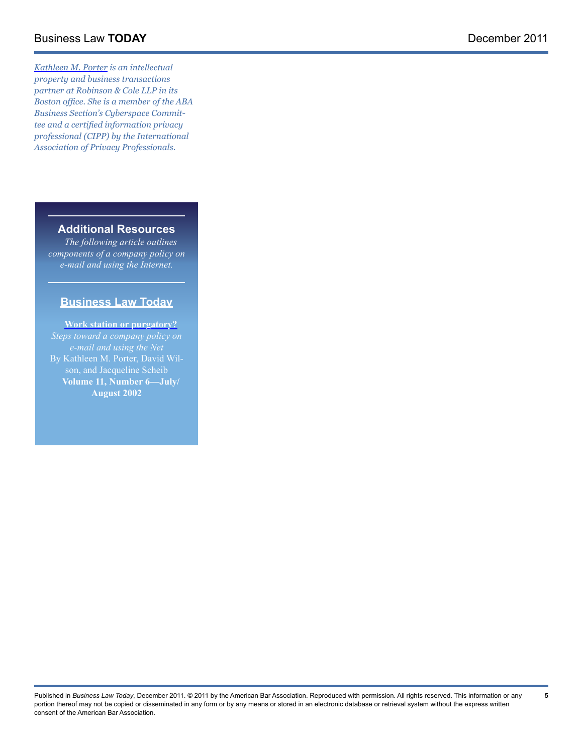# Business Law **Today** December 2011

*[Kathleen M. Porter](http://www.rc.com/Bio.cfm?eID=769) is an intellectual property and business transactions partner at Robinson & Cole LLP in its Boston office. She is a member of the ABA Business Section's Cyberspace Committee and a certified information privacy professional (CIPP) by the International Association of Privacy Professionals.*

# **Additional Resources**

*The following article outlines components of a company policy on e-mail and using the Internet.* 

# **Business Law Today**

**[Work station or purgatory?](http://apps.americanbar.org/buslaw/blt/2002-07-08/porterwilson.html)** *Steps toward a company policy on e-mail and using the Net* By Kathleen M. Porter, David Wilson, and Jacqueline Scheib **Volume 11, Number 6––July/ August 2002** 

Published in *Business Law Today*, December 2011. © 2011 by the American Bar Association. Reproduced with permission. All rights reserved. This information or any portion thereof may not be copied or disseminated in any form or by any means or stored in an electronic database or retrieval system without the express written consent of the American Bar Association.

**5**